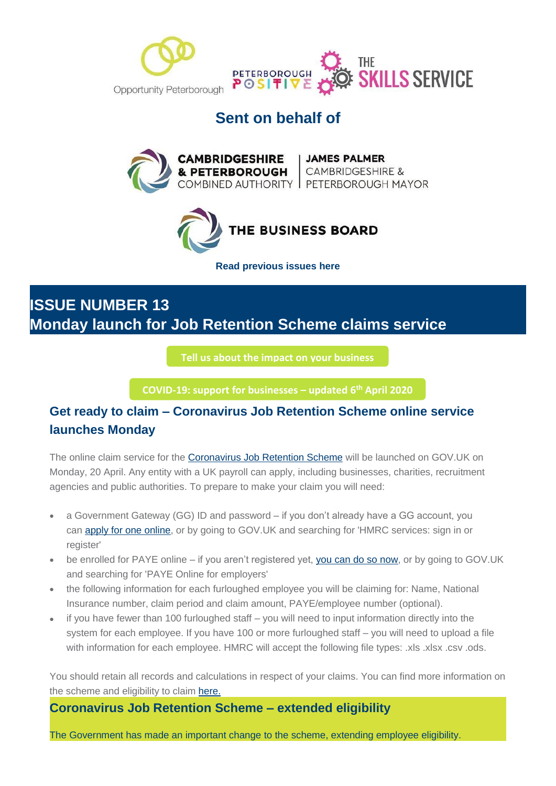



## **Sent on behalf of**





**[Read previous issues here](https://mills.createsend1.com/t/d-l-mttyhtl-l-r/)**

# **ISSUE NUMBER 13 Monday launch for Job Retention Scheme claims service**

**[Tell us about the impact on your business](https://i7.t.hubspotemail.net/e2t/c/*W5_QYjd8Ct2dXW7L6T4F39rYHN0/*W2VrCrJ79zhK9W33THgY3X7-Bc0/5/f18dQhb0SmhQ9c-kQvW6FcT5P1m4DtzW1DpP_V7x37qHW6Blzll1Qt2G2VLDpF18CSvhfW8BSny05tgcZsW8rB-lZ39vrHZN8CRB3fV9Fr1MZ_MZcRcgcmVQBZgB5wL96LW1sL3M03MybvyW28d46X63xTt7W58jb5-4K75nCW8hvFmF7NMs04W1ZJgG09dSlS6W35rgCl94-4T0W7sLptq41TlcRW3TwTqz19BjMLN1ks0KjSbGG8W3fSWNv7cvxRcVw0r2s4bQW_qW6c44wG4ftZYfW1xZQXF6KYccyW2Nnhhm49wDTzVnR3Kx5399fJW6vkjM991GYyXW92Gqh46pVBb3VtdCBh8-hSx9W7kHDsW4kVRb4W7vmVWN7tplhrW8Z1Tn-2LB2wFW1XX-rs53SyZmW6Dtps71-rs3LW1GcK6w1XcgmtW1RkvPl1vR--LW6xCzbF1H76RcW8XjHx11MjJWrVkmHmF1J7bfRVfglxL7K_fZwN4Zg5Q0fTlLHV1KH6H1KgFpqW7tKwjk83C22TW7s-rRx7Wt1K5W64Qd463N_YjpMRHx7vQJPMrW8p0dzm8v2Fl6W63lxZV77pKj1W2LdjVl5_zHMFW3bpkdc6TBvrzW45QfPl7nxyj9W6WSjYf5YtrXHN1GY8YMVMPVbVVrLq82nLhsjf6J4pCx04)**

**[COVID-19: support for businesses](https://i7.t.hubspotemail.net/e2t/c/*W5_QYjd8Ct2dXW7L6T4F39rYHN0/*W68YdTc6wKd2jW1vHfVB396T7f0/5/f18dQhb0S4017wjzHDV1x4ml5W0JNsMC7lZThZy-FW5J53lw3ldx5hMs_14zzCYCyW3dqJNy6SLzCgW1RWmMr4GRfJpW3s_zl44Pfbv-N8gsgLRb5rWGW1K-zn255_wF_W2bTxL78RvqKQW8mmHd47z9HlJW68zlpN27NYyfW6vXb-q3gJtNNW51-1n17Z3XstW7QrNmR8rkzWJW2Mxbm96GtzZ8VDcbh93KRd4xN5gnrdjg_jR-W2Xd-8j6wgQ14VFBjjv6N6PDmV1TkcZ2m_f1BN48g4HxFywSQW2zRMkB81xRFMVtP1y05mfdkSW2xNj5Q699SPZW7jdbCL6tvXX7W4skB978z0HsHW75wnw82PcnlQN3sPf2dF3v05W8SGh337xGgfnW6rcFHy19NpfdVKBkl93fddBKW4mj-By2sDHYvW7WcFDg74VY9QW2-k38b5HnqrzW41ZhV08YKtb8W3C1nV-2dQSFsW5l1rvS8GXQ6pW8jctn84lWWgtW7w1bXP84-W6cW8Y04Vn6fS-TvN6q_Yfd2GRjgW76XRGB7T0y9XW8Gz4P01YpmbhW4QlJJs2cFp-QW2yxsXs2-sl69W3w1C3G3YQ_nKW4YWW9w498vvzW2VcRcj2SC8KbW2swn723Fv70yVcwYTl3npM5DV1vM235rlPWGW7rJPX970k0C1W9c7nlw66xYKcVVdn6v9m2MdqW666LMz9175vQW8z6hFT362l_5W1LW8Nt6HWqj8103) – updated 6th April 2020**

### **Get ready to claim – Coronavirus Job Retention Scheme online service launches Monday**

The online claim service for the [Coronavirus Job Retention Scheme](https://mills.createsend1.com/t/d-l-milwkd-l-t/) will be launched on GOV.UK on Monday, 20 April. Any entity with a UK payroll can apply, including businesses, charities, recruitment agencies and public authorities. To prepare to make your claim you will need:

- a Government Gateway (GG) ID and password if you don't already have a GG account, you can [apply for one online,](https://mills.createsend1.com/t/d-l-milwkd-l-i/) or by going to GOV.UK and searching for 'HMRC services: sign in or register'
- be enrolled for PAYE online if you aren't registered yet, [you can do so now,](https://mills.createsend1.com/t/d-l-milwkd-l-d/) or by going to GOV.UK and searching for 'PAYE Online for employers'
- the following information for each furloughed employee you will be claiming for: Name, National Insurance number, claim period and claim amount, PAYE/employee number (optional).
- if you have fewer than 100 furloughed staff you will need to input information directly into the system for each employee. If you have 100 or more furloughed staff – you will need to upload a file with information for each employee. HMRC will accept the following file types: .xls .xlsx .csv .ods.

You should retain all records and calculations in respect of your claims. You can find more information on the scheme and eligibility to claim [here.](https://mills.createsend1.com/t/d-l-milwkd-l-h/)

**Coronavirus Job Retention Scheme – extended eligibility**

The Government has made an important change to the scheme, extending employee eligibility.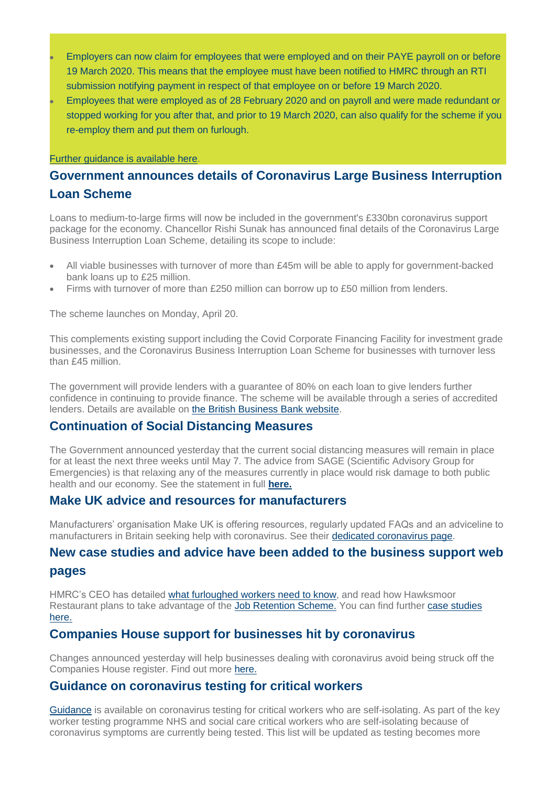- Employers can now claim for employees that were employed and on their PAYE payroll on or before 19 March 2020. This means that the employee must have been notified to HMRC through an RTI submission notifying payment in respect of that employee on or before 19 March 2020.
- Employees that were employed as of 28 February 2020 and on payroll and were made redundant or stopped working for you after that, and prior to 19 March 2020, can also qualify for the scheme if you re-employ them and put them on furlough.

#### [Further guidance is available](https://mills.createsend1.com/t/d-l-milwkd-l-k/) here.

### **Government announces details of Coronavirus Large Business Interruption Loan Scheme**

Loans to medium-to-large firms will now be included in the government's £330bn coronavirus support package for the economy. Chancellor Rishi Sunak has announced final details of the Coronavirus Large Business Interruption Loan Scheme, detailing its scope to include:

- All viable businesses with turnover of more than £45m will be able to apply for government-backed bank loans up to £25 million.
- Firms with turnover of more than £250 million can borrow up to £50 million from lenders.

The scheme launches on Monday, April 20.

This complements existing support including the Covid Corporate Financing Facility for investment grade businesses, and the Coronavirus Business Interruption Loan Scheme for businesses with turnover less than £45 million.

The government will provide lenders with a guarantee of 80% on each loan to give lenders further confidence in continuing to provide finance. The scheme will be available through a series of accredited lenders. Details are available on [the British Business Bank website.](https://mills.createsend1.com/t/d-l-milwkd-l-u/)

### **Continuation of Social Distancing Measures**

The Government announced yesterday that the current social distancing measures will remain in place for at least the next three weeks until May 7. The advice from SAGE (Scientific Advisory Group for Emergencies) is that relaxing any of the measures currently in place would risk damage to both public health and our economy. See the statement in full **[here.](https://mills.createsend1.com/t/d-l-milwkd-l-o/)**

### **Make UK advice and resources for manufacturers**

Manufacturers' organisation Make UK is offering resources, regularly updated FAQs and an adviceline to manufacturers in Britain seeking help with coronavirus. See their [dedicated coronavirus page.](https://mills.createsend1.com/t/d-l-milwkd-l-b/)

## **New case studies and advice have been added to the business support web**

#### **pages**

HMRC's CEO has detailed [what furloughed workers need to know,](https://mills.createsend1.com/t/d-l-milwkd-l-n/) and read how Hawksmoor Restaurant plans to take advantage of the [Job Retention Scheme.](https://mills.createsend1.com/t/d-l-milwkd-l-p/) You can find further case studies [here.](https://mills.createsend1.com/t/d-l-milwkd-l-x/)

### **Companies House support for businesses hit by coronavirus**

Changes announced yesterday will help businesses dealing with coronavirus avoid being struck off the Companies House register. Find out more [here.](https://mills.createsend1.com/t/d-l-milwkd-l-m/)

### **Guidance on coronavirus testing for critical workers**

[Guidance](https://mills.createsend1.com/t/d-l-milwkd-l-c/) is available on coronavirus testing for critical workers who are self-isolating. As part of the key worker testing programme NHS and social care critical workers who are self-isolating because of coronavirus symptoms are currently being tested. This list will be updated as testing becomes more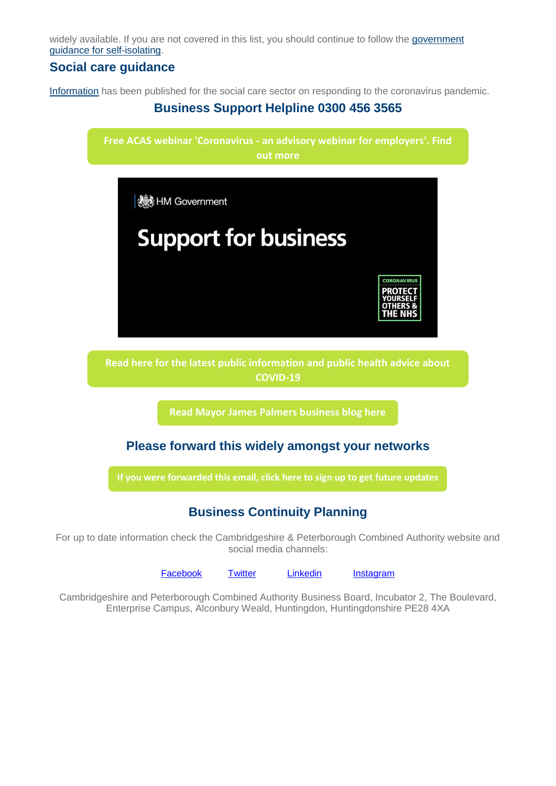widely available. If you are not covered in this list, you should continue to follow the [government](https://mills.createsend1.com/t/d-l-milwkd-l-q/)  [guidance for self-isolating.](https://mills.createsend1.com/t/d-l-milwkd-l-q/)

### **Social care guidance**

[Information](https://mills.createsend1.com/t/d-l-milwkd-l-a/) has been published for the social care sector on responding to the coronavirus pandemic.

### **Business Support Helpline 0300 456 3565**



For up to date information check the Cambridgeshire & Peterborough Combined Authority website and social media channels:

[Facebook](https://hes32-ctp.trendmicro.com/wis/clicktime/v1/query?url=https%3a%2f%2fmills.cmail20.com%2ft%2fd%2dl%2dmjiykz%2djkuyiitjn%2do%2f&umid=07b3982b-81e8-4529-b62a-5a2d548cf59c&auth=032509ba71aa4d03d13cdc6bff503ed53ba3f200-d37c8a08384ac5c8c3b8dd12d05bd53ba0876385) [Twitter](https://hes32-ctp.trendmicro.com/wis/clicktime/v1/query?url=https%3a%2f%2fmills.cmail20.com%2ft%2fd%2dl%2dmjiykz%2djkuyiitjn%2dn%2f&umid=07b3982b-81e8-4529-b62a-5a2d548cf59c&auth=032509ba71aa4d03d13cdc6bff503ed53ba3f200-76b1ceb04a4eb53e4e0f5099e125baf186bdce78) [Linkedin](https://hes32-ctp.trendmicro.com/wis/clicktime/v1/query?url=https%3a%2f%2fmills.cmail20.com%2ft%2fd%2dl%2dmjiykz%2djkuyiitjn%2db%2f&umid=07b3982b-81e8-4529-b62a-5a2d548cf59c&auth=032509ba71aa4d03d13cdc6bff503ed53ba3f200-4b14f90dc48327a8186d68db7a002fdd444b32b8) [Instagram](https://www.instagram.com/cambspboroca/)

Cambridgeshire and Peterborough Combined Authority Business Board, Incubator 2, The Boulevard, Enterprise Campus, Alconbury Weald, Huntingdon, Huntingdonshire PE28 4XA